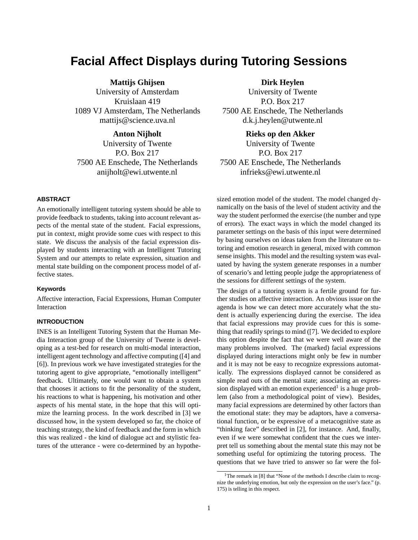# **Facial Affect Displays during Tutoring Sessions**

**Mattijs Ghijsen**

University of Amsterdam Kruislaan 419 1089 VJ Amsterdam, The Netherlands mattijs@science.uva.nl

**Anton Nijholt**

University of Twente P.O. Box 217 7500 AE Enschede, The Netherlands anijholt@ewi.utwente.nl

# **ABSTRACT**

An emotionally intelligent tutoring system should be able to provide feedback to students, taking into account relevant aspects of the mental state of the student. Facial expressions, put in context, might provide some cues with respect to this state. We discuss the analysis of the facial expression displayed by students interacting with an Intelligent Tutoring System and our attempts to relate expression, situation and mental state building on the component process model of affective states.

#### **Keywords**

Affective interaction, Facial Expressions, Human Computer Interaction

## **INTRODUCTION**

INES is an Intelligent Tutoring System that the Human Media Interaction group of the University of Twente is developing as a test-bed for research on multi-modal interaction, intelligent agent technology and affective computing ([4] and [6]). In previous work we have investigated strategies for the tutoring agent to give appropriate, "emotionally intelligent" feedback. Ultimately, one would want to obtain a system that chooses it actions to fit the personality of the student, his reactions to what is happening, his motivation and other aspects of his mental state, in the hope that this will optimize the learning process. In the work described in [3] we discussed how, in the system developed so far, the choice of teaching strategy, the kind of feedback and the form in which this was realized - the kind of dialogue act and stylistic features of the utterance - were co-determined by an hypothe**Dirk Heylen**

University of Twente P.O. Box 217 7500 AE Enschede, The Netherlands d.k.j.heylen@utwente.nl

**Rieks op den Akker** University of Twente P.O. Box 217 7500 AE Enschede, The Netherlands infrieks@ewi.utwente.nl

sized emotion model of the student. The model changed dynamically on the basis of the level of student activity and the way the student performed the exercise (the number and type of errors). The exact ways in which the model changed its parameter settings on the basis of this input were determined by basing ourselves on ideas taken from the literature on tutoring and emotion research in general, mixed with common sense insights. This model and the resulting system was evaluated by having the system generate responses in a number of scenario's and letting people judge the appropriateness of the sessions for different settings of the system.

The design of a tutoring system is a fertile ground for further studies on affective interaction. An obvious issue on the agenda is how we can detect more accurately what the student is actually experiencing during the exercise. The idea that facial expressions may provide cues for this is something that readily springs to mind ([7]. We decided to explore this option despite the fact that we were well aware of the many problems involved. The (marked) facial expressions displayed during interactions might only be few in number and it is may not be easy to recognize expressions automatically. The expressions displayed cannot be considered as simple read outs of the mental state; associating an expression displayed with an emotion experienced<sup>1</sup> is a huge problem (also from a methodological point of view). Besides, many facial expressions are determined by other factors than the emotional state: they may be adaptors, have a conversational function, or be expressive of a metacognitive state as "thinking face" described in [2], for instance. And, finally, even if we were somewhat confident that the cues we interpret tell us something about the mental state this may not be something useful for optimizing the tutoring process. The questions that we have tried to answer so far were the fol-

<sup>&</sup>lt;sup>1</sup>The remark in [8] that "None of the methods I describe claim to recognize the underlying emotion, but only the expression on the user's face." (p. 175) is telling in this respect.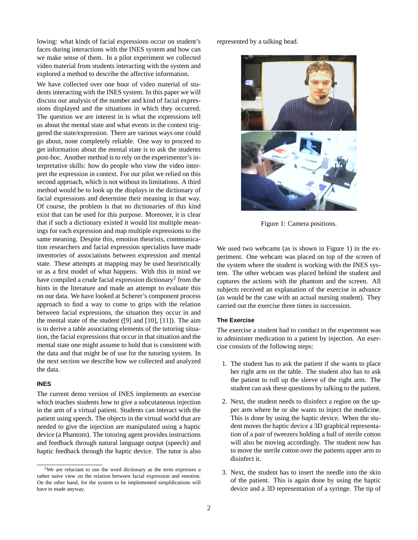lowing: what kinds of facial expressions occur on student's faces during interactions with the INES system and how can we make sense of them. In a pilot experiment we collected video material from students interacting with the system and explored a method to describe the affective information.

We have collected over one hour of video material of students interacting with the INES system. In this paper we will discuss our analysis of the number and kind of facial expressions displayed and the situations in which they occurred. The question we are interest in is what the expressions tell us about the mental state and what events in the context triggered the state/expression. There are various ways one could go about, none completely reliable. One way to proceed to get information about the mental state is to ask the students post-hoc. Another method is to rely on the experimenter's interpretative skills: how do people who view the video interpret the expression in context. For our pilot we relied on this second approach, which is not without its limitations. A third method would be to look up the displays in the dictionary of facial expressions and determine their meaning in that way. Of course, the problem is that no dictionaries of this kind exist that can be used for this purpose. Moreover, it is clear that if such a dictionary existed it would list multiple meanings for each expression and map multiple expressions to the same meaning. Despite this, emotion theorists, communication researchers and facial expression specialists have made inventories of associations between expression and mental state. These attempts at mapping may be used heuristically or as a first model of what happens. With this in mind we have compiled a crude facial expression dictionary<sup>2</sup> from the hints in the literature and made an attempt to evaluate this on our data. We have looked at Scherer's component process approach to find a way to come to grips with the relation between facial expressions, the situation they occur in and the mental state of the student ([9] and [10], [11]). The aim is to derive a table associating elements of the tutoring situation, the facial expressions that occur in that situation and the mental state one might assume to hold that is consistent with the data and that might be of use for the tutoring system. In the next section we describe how we collected and analyzed the data.

#### **INES**

The current demo version of INES implements an exercise which teaches students how to give a subcutaneous injection in the arm of a virtual patient. Students can interact with the patient using speech. The objects in the virtual world that are needed to give the injection are manipulated using a haptic device (a Phantom). The tutoring agent provides instructions and feedback through natural language output (speech) and haptic feedback through the haptic device. The tutor is also

represented by a talking head.



Figure 1: Camera positions.

We used two webcams (as is shown in Figure 1) in the experiment. One webcam was placed on top of the screen of the system where the student is working with the INES system. The other webcam was placed behind the student and captures the actions with the phantom and the screen. All subjects received an explanation of the exercise in advance (as would be the case with an actual nursing student). They carried out the exercise three times in succession.

## **The Exercise**

The exercise a student had to conduct in the experiment was to administer medication to a patient by injection. An exercise consists of the following steps:

- 1. The student has to ask the patient if she wants to place her right arm on the table. The student also has to ask the patient to roll up the sleeve of the right arm. The student can ask these questions by talking to the patient.
- 2. Next, the student needs to disinfect a region on the upper arm where he or she wants to inject the medicine. This is done by using the haptic device. When the student moves the haptic device a 3D graphical representation of a pair of tweezers holding a ball of sterile cotton will also be moving accordingly. The student now has to move the sterile cotton over the patients upper arm to disinfect it.
- 3. Next, the student has to insert the needle into the skin of the patient. This is again done by using the haptic device and a 3D representation of a syringe. The tip of

<sup>2</sup>We are reluctant to use the word dictionary as the term expresses a rather naive view on the relation between facial expression and emotion. On the other hand, for the system to be implemented simplifications will have to made anyway.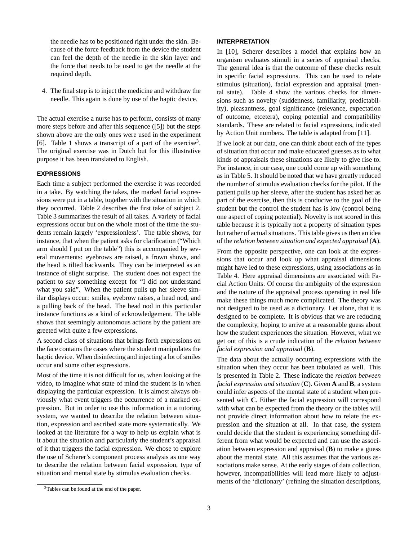the needle has to be positioned right under the skin. Because of the force feedback from the device the student can feel the depth of the needle in the skin layer and the force that needs to be used to get the needle at the required depth.

4. The final step is to inject the medicine and withdraw the needle. This again is done by use of the haptic device.

The actual exercise a nurse has to perform, consists of many more steps before and after this sequence ([5]) but the steps shown above are the only ones were used in the experiment [6]. Table 1 shows a transcript of a part of the exercise<sup>3</sup>. The original exercise was in Dutch but for this illustrative purpose it has been translated to English.

## **EXPRESSIONS**

Each time a subject performed the exercise it was recorded in a take. By watching the takes, the marked facial expressions were put in a table, together with the situation in which they occurred. Table 2 describes the first take of subject 2. Table 3 summarizes the result of all takes. A variety of facial expressions occur but on the whole most of the time the students remain largely 'expressionless'. The table shows, for instance, that when the patient asks for clarification ("Which arm should I put on the table") this is accompanied by several movements: eyebrows are raised, a frown shows, and the head is tilted backwards. They can be interpreted as an instance of slight surprise. The student does not expect the patient to say something except for "I did not understand what you said". When the patient pulls up her sleeve similar displays occur: smiles, eyebrow raises, a head nod, and a pulling back of the head. The head nod in this particular instance functions as a kind of acknowledgement. The table shows that seemingly autonomous actions by the patient are greeted with quite a few expressions.

A second class of situations that brings forth expressions on the face contains the cases where the student manipulates the haptic device. When disinfecting and injecting a lot of smiles occur and some other expressions.

Most of the time it is not difficult for us, when looking at the video, to imagine what state of mind the student is in when displaying the particular expression. It is almost always obviously what event triggers the occurrence of a marked expression. But in order to use this information in a tutoring system, we wanted to describe the relation between situation, expression and ascribed state more systematically. We looked at the literature for a way to help us explain what is it about the situation and particularly the student's appraisal of it that triggers the facial expression. We chose to explore the use of Scherer's component process analysis as one way to describe the relation between facial expression, type of situation and mental state by stimulus evaluation checks.

#### **INTERPRETATION**

In [10], Scherer describes a model that explains how an organism evaluates stimuli in a series of appraisal checks. The general idea is that the outcome of these checks result in specific facial expressions. This can be used to relate stimulus (situation), facial expression and appraisal (mental state). Table 4 show the various checks for dimensions such as novelty (suddenness, familiarity, predictability), pleasantness, goal significance (relevance, expectation of outcome, etcetera), coping potential and compatibility standards. These are related to facial expressions, indicated by Action Unit numbers. The table is adapted from [11].

If we look at our data, one can think about each of the types of situation that occur and make educated guesses as to what kinds of appraisals these situations are likely to give rise to. For instance, in our case, one could come up with something as in Table 5. It should be noted that we have greatly reduced the number of stimulus evaluation checks for the pilot. If the patient pulls up her sleeve, after the student has asked her as part of the exercise, then this is conducive to the goal of the student but the control the student has is low (control being one aspect of coping potential). Novelty is not scored in this table because it is typically not a property of situation types but rather of actual situations. This table gives us then an idea of the *relation between situation and expected appraisal* (**A**).

From the opposite perspective, one can look at the expressions that occur and look up what appraisal dimensions might have led to these expressions, using associations as in Table 4. Here appraisal dimensions are associated with Facial Action Units. Of course the ambiguity of the expression and the nature of the appraisal process operating in real life make these things much more complicated. The theory was not designed to be used as a dictionary. Let alone, that it is designed to be complete. It is obvious that we are reducing the complexity, hoping to arrive at a reasonable guess about how the student experiences the situation. However, what we get out of this is a crude indication of the *relation between facial expression and appraisal* (**B**).

The data about the actually occurring expressions with the situation when they occur has been tabulated as well. This is presented in Table 2. These indicate the *relation between facial expression and situation* (**C**). Given **A** and **B**, a system could infer aspects of the mental state of a student when presented with **C**. Either the facial expression will correspond with what can be expected from the theory or the tables will not provide direct information about how to relate the expression and the situation at all. In that case, the system could decide that the student is experiencing something different from what would be expected and can use the association between expression and appraisal (**B**) to make a guess about the mental state. All this assumes that the various associations make sense. At the early stages of data collection, however, incompatibilities will lead more likely to adjustments of the 'dictionary' (refining the situation descriptions,

<sup>&</sup>lt;sup>3</sup>Tables can be found at the end of the paper.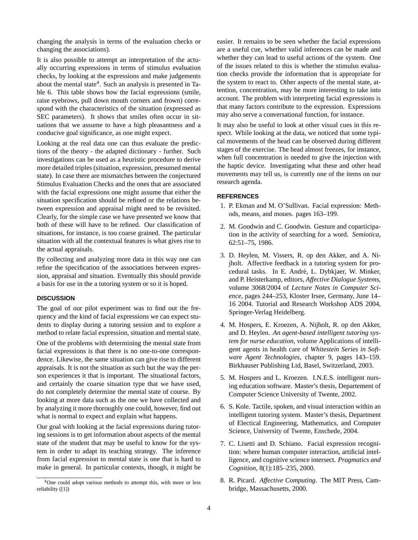changing the analysis in terms of the evaluation checks or changing the associations).

It is also possible to attempt an interpretation of the actually occurring expressions in terms of stimulus evaluation checks, by looking at the expressions and make judgements about the mental state<sup>4</sup>. Such an analysis is presented in Table 6. This table shows how the facial expressions (smile, raise eyebrows, pull down mouth corners and frown) correspond with the characteristics of the situation (expressed as SEC parameters). It shows that smiles often occur in situations that we assume to have a high pleasantness and a conducive goal significance, as one might expect.

Looking at the real data one can thus evaluate the predictions of the theory - the adapted dictionary - further. Such investigations can be used as a heuristic procedure to derive more detailed triples (situation, expression, presumed mental state). In case there are mismatches between the conjectured Stimulus Evaluation Checks and the ones that are associated with the facial expressions one might assume that either the situation specification should be refined or the relations between expression and appraisal might need to be revisited. Clearly, for the simple case we have presented we know that both of these will have to be refined. Our classification of situations, for instance, is too coarse grained. The particular situation with all the contextual features is what gives rise to the actual appraisals.

By collecting and analyzing more data in this way one can refine the specification of the associations between expression, appraisal and situation. Eventually this should provide a basis for use in the a tutoring system or so it is hoped.

# **DISCUSSION**

The goal of our pilot experiment was to find out the frequency and the kind of facial expressions we can expect students to display during a tutoring session and to explore a method to relate facial expression, situation and mental state.

One of the problems with determining the mental state from facial expressions is that there is no one-to-one correspondence. Likewise, the same situation can give rise to different appraisals. It is not the situation as such but the way the person experiences it that is important. The situational factors, and certainly the coarse situation type that we have used, do not completely determine the mental state of course. By looking at more data such as the one we have collected and by analyzing it more thoroughly one could, however, find out what is normal to expect and explain what happens.

Our goal with looking at the facial expressions during tutoring sessions is to get information about aspects of the mental state of the student that may be useful to know for the system in order to adapt its teaching strategy. The inference from facial expression to mental state is one that is hard to make in general. In particular contexts, though, it might be easier. It remains to be seen whether the facial expressions are a useful cue, whether valid inferences can be made and whether they can lead to useful actions of the system. One of the issues related to this is whether the stimulus evaluation checks provide the information that is appropriate for the system to react to. Other aspects of the mental state, attention, concentration, may be more interesting to take into account. The problem with interpreting facial expressions is that many factors contribute to the expression. Expressions may also serve a conversational function, for instance.

It may also be useful to look at other visual cues in this respect. While looking at the data, we noticed that some typical movements of the head can be observed during different stages of the exercise. The head almost freezes, for instance, when full concentration is needed to give the injection with the haptic device. Investigating what these and other head movements may tell us, is currently one of the items on our research agenda.

#### **REFERENCES**

- 1. P. Ekman and M. O'Sullivan. Facial expression: Methods, means, and moues. pages 163–199.
- 2. M. Goodwin and C. Goodwin. Gesture and coparticipation in the activity of searching for a word. *Semiotica*, 62:51–75, 1986.
- 3. D. Heylen, M. Vissers, R. op den Akker, and A. Nijholt. Affective feedback in a tutoring system for procedural tasks. In E. André, L. Dybkjaer, W. Minker, and P. Heisterkamp, editors, *Affective Dialogue Systems*, volume 3068/2004 of *Lecture Notes in Computer Science*, pages 244–253, Kloster Irsee, Germany, June 14– 16 2004. Tutorial and Research Workshop ADS 2004, Springer-Verlag Heidelberg.
- 4. M. Hospers, E. Kroezen, A. Nijholt, R. op den Akker, and D. Heylen. *An agent-based intelligent tutoring system for nurse education*, volume Applications of intelligent agents in health care of *Whitestein Series in Software Agent Technologies*, chapter 9, pages 143–159. Birkhauser Publishing Ltd, Basel, Switzerland, 2003.
- 5. M. Hospers and L. Kroezen. I.N.E.S. intelligent nursing education software. Master's thesis, Departement of Computer Science University of Twente, 2002.
- 6. S. Kole. Tactile, spoken, and visual interaction within an intelligent tutoring system. Master's thesis, Department of Electical Engineering, Mathematics, and Computer Science, University of Twente, Enschede, 2004.
- 7. C. Lisetti and D. Schiano. Facial expression recognition: where human computer interaction, artificial intelligence, and cognitive science intersect. *Pragmatics and Cognition*, 8(1):185–235, 2000.
- 8. R. Picard. *Affective Computing*. The MIT Press, Cambridge, Massachusetts, 2000.

<sup>&</sup>lt;sup>4</sup>One could adopt various methods to attempt this, with more or less reliability ([1])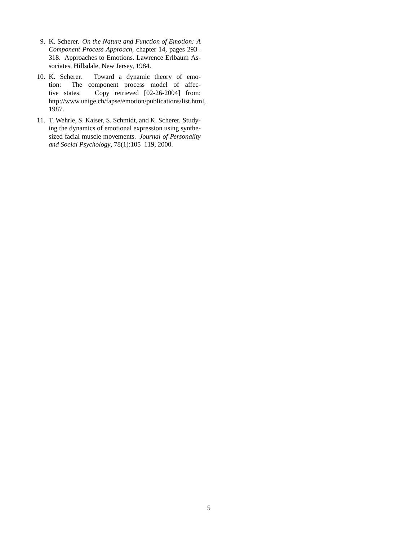- 9. K. Scherer. *On the Nature and Function of Emotion: A Component Process Approach*, chapter 14, pages 293– 318. Approaches to Emotions. Lawrence Erlbaum Associates, Hillsdale, New Jersey, 1984.
- 10. K. Scherer. Toward a dynamic theory of emotion: The component process model of affective states. Copy retrieved [02-26-2004] from: http://www.unige.ch/fapse/emotion/publications/list.html, 1987.
- 11. T. Wehrle, S. Kaiser, S. Schmidt, and K. Scherer. Studying the dynamics of emotional expression using synthesized facial muscle movements. *Journal of Personality and Social Psychology*, 78(1):105–119, 2000.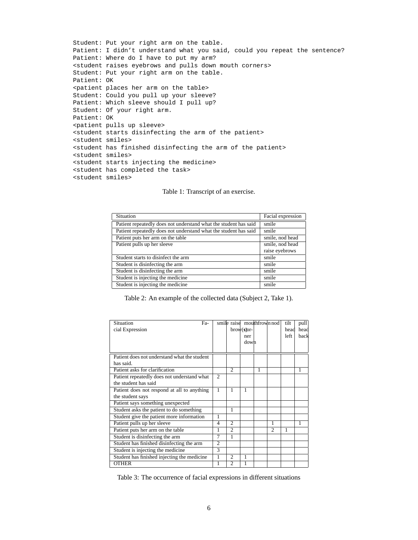```
Student: Put your right arm on the table.
Patient: I didn't understand what you said, could you repeat the sentence?
Patient: Where do I have to put my arm?
<student raises eyebrows and pulls down mouth corners>
Student: Put your right arm on the table.
Patient: OK
<patient places her arm on the table>
Student: Could you pull up your sleeve?
Patient: Which sleeve should I pull up?
Student: Of your right arm.
Patient: OK
<patient pulls up sleeve>
<student starts disinfecting the arm of the patient>
<student smiles>
<student has finished disinfecting the arm of the patient>
<student smiles>
<student starts injecting the medicine>
<student has completed the task>
<student smiles>
```
Table 1: Transcript of an exercise.

| <b>Situation</b>                                                 | Facial expression |
|------------------------------------------------------------------|-------------------|
| Patient repeatedly does not understand what the student has said | smile             |
| Patient repeatedly does not understand what the student has said | smile             |
| Patient puts her arm on the table                                | smile, nod head   |
| Patient pulls up her sleeve                                      | smile, nod head   |
|                                                                  | raise eyebrows    |
| Student starts to disinfect the arm                              | smile             |
| Student is disinfecting the arm                                  | smile             |
| Student is disinfecting the arm                                  | smile             |
| Student is injecting the medicine                                | smile             |
| Student is injecting the medicine                                | smile             |

Table 2: An example of the collected data (Subject 2, Take 1).

| Situation<br>F <sub>a</sub> -                |                | smile raise mouthfrown nod |               |   |                | tilt | pull |
|----------------------------------------------|----------------|----------------------------|---------------|---|----------------|------|------|
| cial Expression                              |                |                            | $brow(s)$ or- |   |                | head | head |
|                                              |                |                            | ner           |   |                | left | back |
|                                              |                |                            | down          |   |                |      |      |
|                                              |                |                            |               |   |                |      |      |
| Patient does not understand what the student |                |                            |               |   |                |      |      |
| has said.                                    |                |                            |               |   |                |      |      |
| Patient asks for clarification               |                | $\overline{c}$             |               | 1 |                |      | 1    |
| Patient repeatedly does not understand what  | $\mathfrak{D}$ |                            |               |   |                |      |      |
| the student has said                         |                |                            |               |   |                |      |      |
| Patient does not respond at all to anything  | 1              | 1                          | 1             |   |                |      |      |
| the student says                             |                |                            |               |   |                |      |      |
| Patient says something unexpected            |                |                            |               |   |                |      |      |
| Student asks the patient to do something     |                | 1                          |               |   |                |      |      |
| Student give the patient more information    | 1              |                            |               |   |                |      |      |
| Patient pulls up her sleeve                  | 4              | $\overline{c}$             |               |   | 1              |      | 1    |
| Patient puts her arm on the table            | 1              | $\overline{c}$             |               |   | $\overline{c}$ | 1    |      |
| Student is disinfecting the arm              | 7              | 1                          |               |   |                |      |      |
| Student has finished disinfecting the arm    | $\overline{c}$ |                            |               |   |                |      |      |
| Student is injecting the medicine            | 3              |                            |               |   |                |      |      |
| Student has finished injecting the medicine  | 1              | $\overline{c}$             | 1             |   |                |      |      |
| <b>OTHER</b>                                 | 1              | $\mathfrak{D}$             | 1             |   |                |      |      |

Table 3: The occurrence of facial expressions in different situations